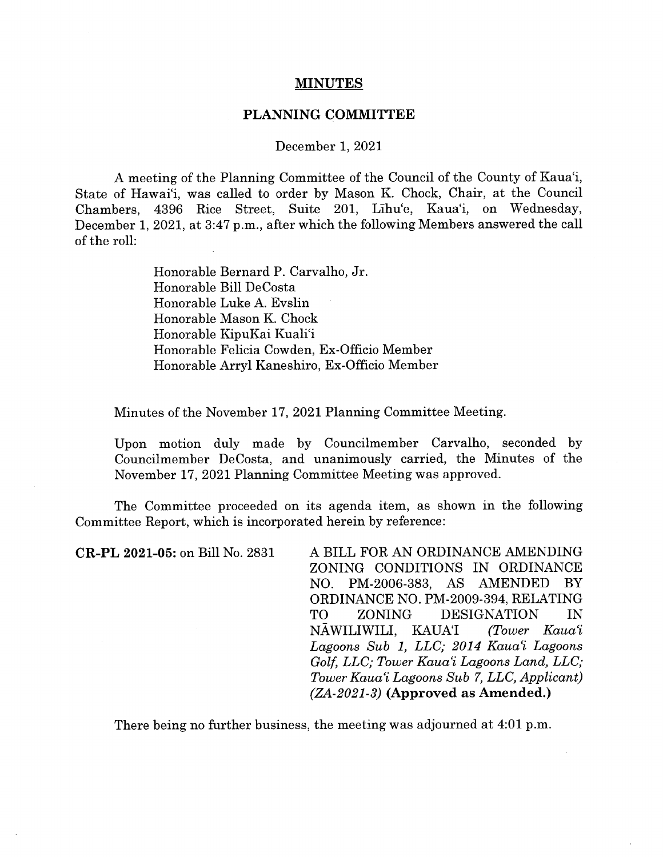## **MINUTES**

## PLANNING COMMITTEE

## December 1, 2021

A meeting of the Planning Committee of the Council of the County of Kaua'i, State of Hawai'i, was called to order by Mason K. Chock, Chair, at the Council Chambers, 4396 Rice Street, Suite 201, Lihu'e, Kaua'i, on Wednesday, December 1, 2021, at 3:47 p.m., after which the following Members answered the call of the roll:

> Honorable Bernard P. Carvaiho, Jr. Honorable Bill DeCosta Honorable Luke A. Evslin Honorable Mason K. Chock Honorable KipuKai Kuali'i Honorable Felicia Cowden, Ex-Officio Member Honorable Arryl Kaneshiro, Ex-Officio Member

Minutes of the November 17, 2021 Planning Committee Meeting.

Upon motion duly made by Councilmember Carvaiho, seconded by Councilmember DeCosta, and unanimously carried, the Minutes of the November 17, 2021 Planning Committee Meeting was approved.

The Committee proceeded on its agenda item, as shown in the following Committee Report, which is incorporated herein by reference:

CR-PL 2021-05: on Bill No. 2831 A BILL FOR AN ORDINANCE AMENDING ZONING CONDITIONS IN ORDINANCE NO. PM-2006-383, AS AMENDED BY ORDINANCE NO. PM-2009-394, RELATING TO ZONING DESIGNATION IN NAWILIWILT, KAUA'I (Tower Kaua'i Lagoons Sub 1, LLC; 2014 Kaua'i Lagoons Golf, LLC; Tower Kaua'i Lagoons Land, LLC; Tower Kaua'i Lagoons Sub 7, LLC, Applicant)  $(ZA-2021-3)$  (Approved as Amended.)

There being no further business, the meeting was adjourned at 4:01 p.m.